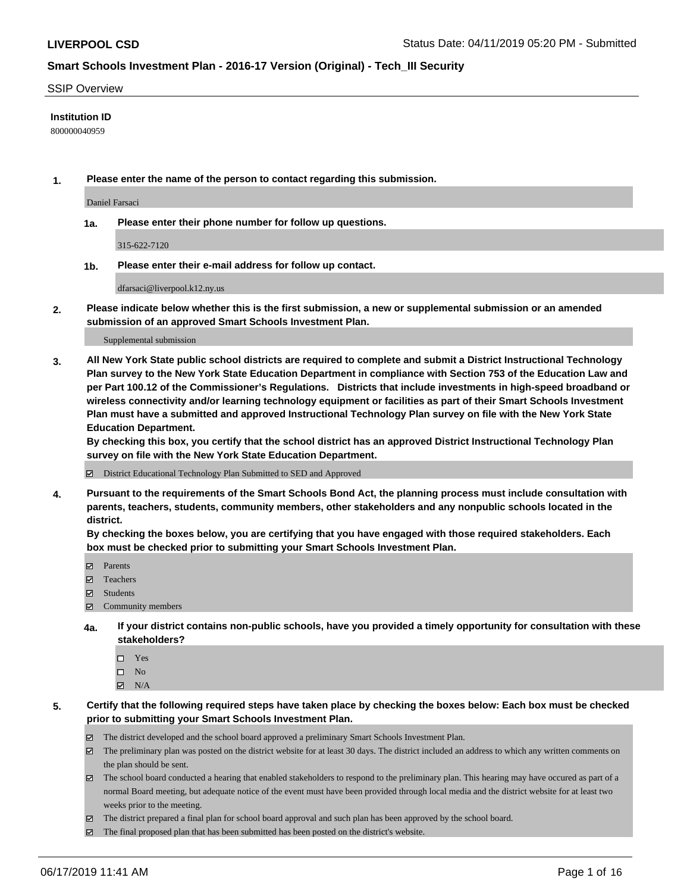#### SSIP Overview

#### **Institution ID**

800000040959

**1. Please enter the name of the person to contact regarding this submission.**

Daniel Farsaci

**1a. Please enter their phone number for follow up questions.**

315-622-7120

**1b. Please enter their e-mail address for follow up contact.**

dfarsaci@liverpool.k12.ny.us

**2. Please indicate below whether this is the first submission, a new or supplemental submission or an amended submission of an approved Smart Schools Investment Plan.**

#### Supplemental submission

**3. All New York State public school districts are required to complete and submit a District Instructional Technology Plan survey to the New York State Education Department in compliance with Section 753 of the Education Law and per Part 100.12 of the Commissioner's Regulations. Districts that include investments in high-speed broadband or wireless connectivity and/or learning technology equipment or facilities as part of their Smart Schools Investment Plan must have a submitted and approved Instructional Technology Plan survey on file with the New York State Education Department.** 

**By checking this box, you certify that the school district has an approved District Instructional Technology Plan survey on file with the New York State Education Department.**

District Educational Technology Plan Submitted to SED and Approved

**4. Pursuant to the requirements of the Smart Schools Bond Act, the planning process must include consultation with parents, teachers, students, community members, other stakeholders and any nonpublic schools located in the district.** 

**By checking the boxes below, you are certifying that you have engaged with those required stakeholders. Each box must be checked prior to submitting your Smart Schools Investment Plan.**

- Parents
- Teachers
- Students
- Community members
- **4a. If your district contains non-public schools, have you provided a timely opportunity for consultation with these stakeholders?**
	- □ Yes
	- $\square$  No
	- $N/A$

**5. Certify that the following required steps have taken place by checking the boxes below: Each box must be checked prior to submitting your Smart Schools Investment Plan.**

- The district developed and the school board approved a preliminary Smart Schools Investment Plan.
- $\boxtimes$  The preliminary plan was posted on the district website for at least 30 days. The district included an address to which any written comments on the plan should be sent.
- $\boxtimes$  The school board conducted a hearing that enabled stakeholders to respond to the preliminary plan. This hearing may have occured as part of a normal Board meeting, but adequate notice of the event must have been provided through local media and the district website for at least two weeks prior to the meeting.
- The district prepared a final plan for school board approval and such plan has been approved by the school board.
- $\boxtimes$  The final proposed plan that has been submitted has been posted on the district's website.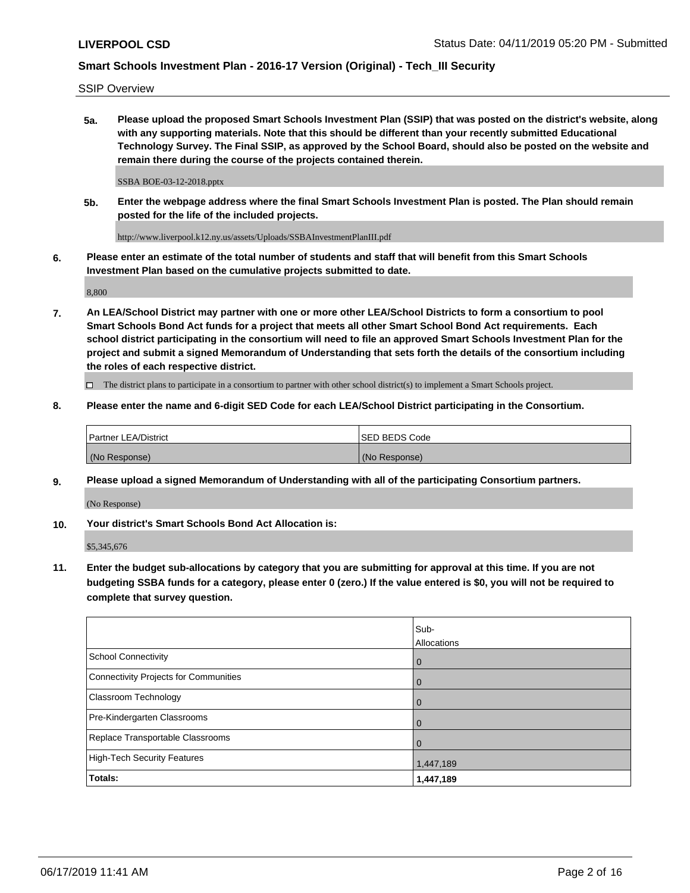SSIP Overview

**5a. Please upload the proposed Smart Schools Investment Plan (SSIP) that was posted on the district's website, along with any supporting materials. Note that this should be different than your recently submitted Educational Technology Survey. The Final SSIP, as approved by the School Board, should also be posted on the website and remain there during the course of the projects contained therein.**

SSBA BOE-03-12-2018.pptx

**5b. Enter the webpage address where the final Smart Schools Investment Plan is posted. The Plan should remain posted for the life of the included projects.**

http://www.liverpool.k12.ny.us/assets/Uploads/SSBAInvestmentPlanIII.pdf

**6. Please enter an estimate of the total number of students and staff that will benefit from this Smart Schools Investment Plan based on the cumulative projects submitted to date.**

8,800

**7. An LEA/School District may partner with one or more other LEA/School Districts to form a consortium to pool Smart Schools Bond Act funds for a project that meets all other Smart School Bond Act requirements. Each school district participating in the consortium will need to file an approved Smart Schools Investment Plan for the project and submit a signed Memorandum of Understanding that sets forth the details of the consortium including the roles of each respective district.**

 $\Box$  The district plans to participate in a consortium to partner with other school district(s) to implement a Smart Schools project.

### **8. Please enter the name and 6-digit SED Code for each LEA/School District participating in the Consortium.**

| Partner LEA/District | <b>ISED BEDS Code</b> |
|----------------------|-----------------------|
| (No Response)        | (No Response)         |

### **9. Please upload a signed Memorandum of Understanding with all of the participating Consortium partners.**

(No Response)

**10. Your district's Smart Schools Bond Act Allocation is:**

\$5,345,676

**11. Enter the budget sub-allocations by category that you are submitting for approval at this time. If you are not budgeting SSBA funds for a category, please enter 0 (zero.) If the value entered is \$0, you will not be required to complete that survey question.**

|                                       | Sub-<br>Allocations |
|---------------------------------------|---------------------|
| <b>School Connectivity</b>            | $\overline{0}$      |
| Connectivity Projects for Communities | $\overline{0}$      |
| <b>Classroom Technology</b>           | 0                   |
| Pre-Kindergarten Classrooms           | 0                   |
| Replace Transportable Classrooms      | $\Omega$            |
| High-Tech Security Features           | 1,447,189           |
| Totals:                               | 1,447,189           |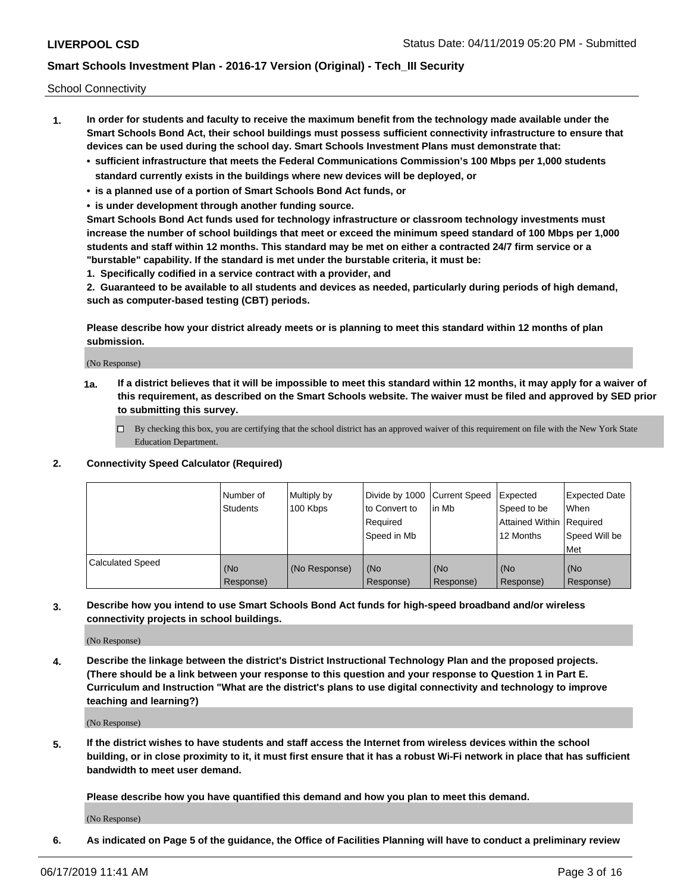School Connectivity

- **1. In order for students and faculty to receive the maximum benefit from the technology made available under the Smart Schools Bond Act, their school buildings must possess sufficient connectivity infrastructure to ensure that devices can be used during the school day. Smart Schools Investment Plans must demonstrate that:**
	- **• sufficient infrastructure that meets the Federal Communications Commission's 100 Mbps per 1,000 students standard currently exists in the buildings where new devices will be deployed, or**
	- **• is a planned use of a portion of Smart Schools Bond Act funds, or**
	- **• is under development through another funding source.**

**Smart Schools Bond Act funds used for technology infrastructure or classroom technology investments must increase the number of school buildings that meet or exceed the minimum speed standard of 100 Mbps per 1,000 students and staff within 12 months. This standard may be met on either a contracted 24/7 firm service or a "burstable" capability. If the standard is met under the burstable criteria, it must be:**

**1. Specifically codified in a service contract with a provider, and**

**2. Guaranteed to be available to all students and devices as needed, particularly during periods of high demand, such as computer-based testing (CBT) periods.**

**Please describe how your district already meets or is planning to meet this standard within 12 months of plan submission.**

(No Response)

**1a. If a district believes that it will be impossible to meet this standard within 12 months, it may apply for a waiver of this requirement, as described on the Smart Schools website. The waiver must be filed and approved by SED prior to submitting this survey.**

 $\Box$  By checking this box, you are certifying that the school district has an approved waiver of this requirement on file with the New York State Education Department.

**2. Connectivity Speed Calculator (Required)**

|                         | l Number of<br><b>Students</b> | Multiply by<br>100 Kbps | Divide by 1000 Current Speed<br>to Convert to<br>Required<br>Speed in Mb | lin Mb           | Expected<br>Speed to be<br>Attained Within   Required<br>12 Months | <b>Expected Date</b><br><b>When</b><br>Speed Will be<br><b>Met</b> |
|-------------------------|--------------------------------|-------------------------|--------------------------------------------------------------------------|------------------|--------------------------------------------------------------------|--------------------------------------------------------------------|
| <b>Calculated Speed</b> | (No<br>Response)               | (No Response)           | (No<br>Response)                                                         | (No<br>Response) | (No<br>Response)                                                   | (No<br>Response)                                                   |

**3. Describe how you intend to use Smart Schools Bond Act funds for high-speed broadband and/or wireless connectivity projects in school buildings.**

(No Response)

**4. Describe the linkage between the district's District Instructional Technology Plan and the proposed projects. (There should be a link between your response to this question and your response to Question 1 in Part E. Curriculum and Instruction "What are the district's plans to use digital connectivity and technology to improve teaching and learning?)**

(No Response)

**5. If the district wishes to have students and staff access the Internet from wireless devices within the school building, or in close proximity to it, it must first ensure that it has a robust Wi-Fi network in place that has sufficient bandwidth to meet user demand.**

**Please describe how you have quantified this demand and how you plan to meet this demand.**

(No Response)

**6. As indicated on Page 5 of the guidance, the Office of Facilities Planning will have to conduct a preliminary review**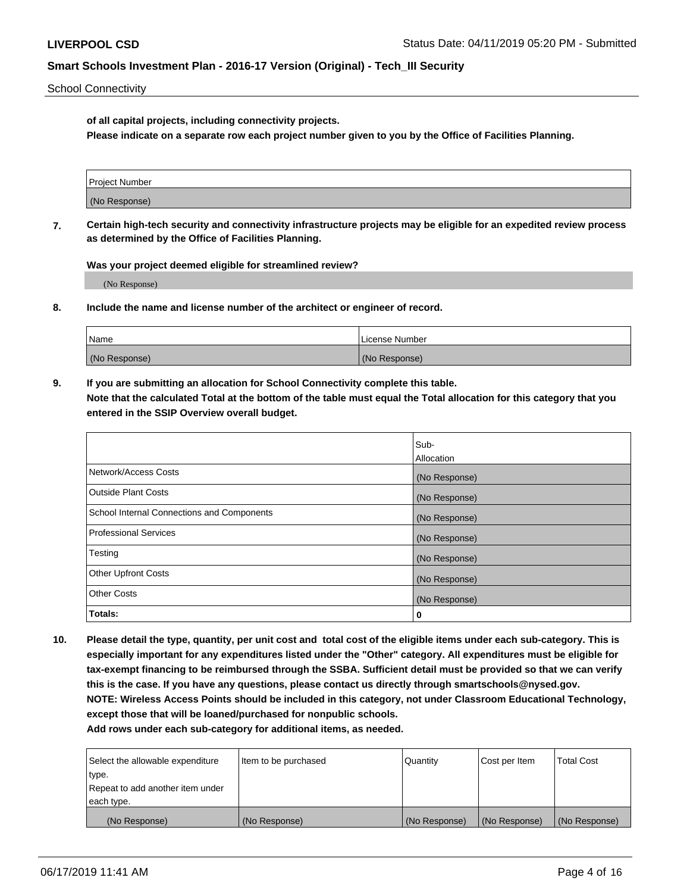School Connectivity

**of all capital projects, including connectivity projects.**

**Please indicate on a separate row each project number given to you by the Office of Facilities Planning.**

| Project Number |  |
|----------------|--|
|                |  |
| (No Response)  |  |
|                |  |

**7. Certain high-tech security and connectivity infrastructure projects may be eligible for an expedited review process as determined by the Office of Facilities Planning.**

**Was your project deemed eligible for streamlined review?**

(No Response)

**8. Include the name and license number of the architect or engineer of record.**

| Name          | License Number |
|---------------|----------------|
| (No Response) | (No Response)  |

**9. If you are submitting an allocation for School Connectivity complete this table. Note that the calculated Total at the bottom of the table must equal the Total allocation for this category that you entered in the SSIP Overview overall budget.** 

|                                            | Sub-              |
|--------------------------------------------|-------------------|
|                                            | <b>Allocation</b> |
| Network/Access Costs                       | (No Response)     |
| <b>Outside Plant Costs</b>                 | (No Response)     |
| School Internal Connections and Components | (No Response)     |
| <b>Professional Services</b>               | (No Response)     |
| Testing                                    | (No Response)     |
| <b>Other Upfront Costs</b>                 | (No Response)     |
| <b>Other Costs</b>                         | (No Response)     |
| Totals:                                    | 0                 |

**10. Please detail the type, quantity, per unit cost and total cost of the eligible items under each sub-category. This is especially important for any expenditures listed under the "Other" category. All expenditures must be eligible for tax-exempt financing to be reimbursed through the SSBA. Sufficient detail must be provided so that we can verify this is the case. If you have any questions, please contact us directly through smartschools@nysed.gov. NOTE: Wireless Access Points should be included in this category, not under Classroom Educational Technology, except those that will be loaned/purchased for nonpublic schools.**

| Select the allowable expenditure | Item to be purchased | Quantity      | Cost per Item | <b>Total Cost</b> |
|----------------------------------|----------------------|---------------|---------------|-------------------|
| type.                            |                      |               |               |                   |
| Repeat to add another item under |                      |               |               |                   |
| each type.                       |                      |               |               |                   |
| (No Response)                    | (No Response)        | (No Response) | (No Response) | (No Response)     |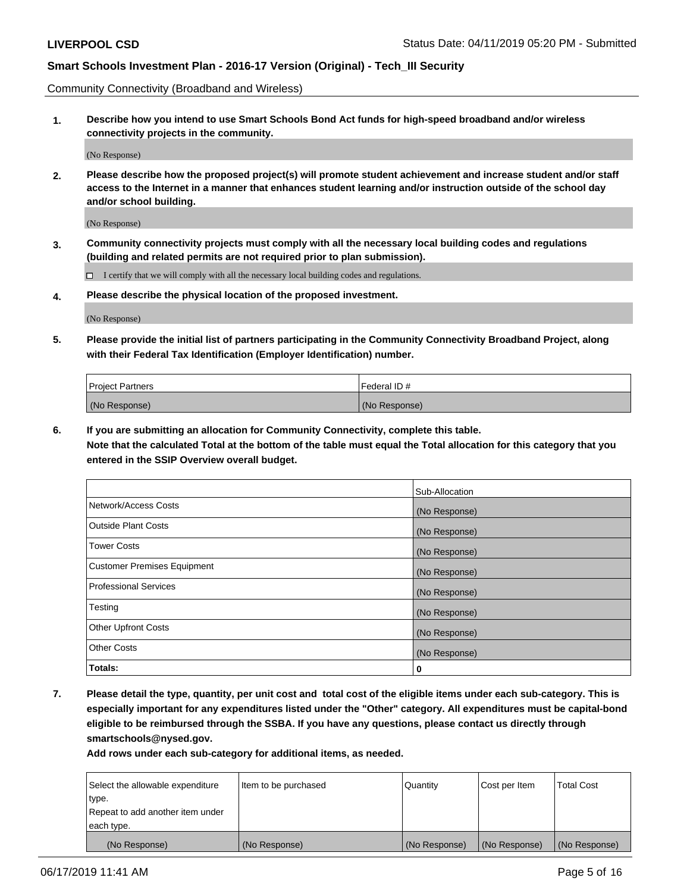Community Connectivity (Broadband and Wireless)

**1. Describe how you intend to use Smart Schools Bond Act funds for high-speed broadband and/or wireless connectivity projects in the community.**

(No Response)

**2. Please describe how the proposed project(s) will promote student achievement and increase student and/or staff access to the Internet in a manner that enhances student learning and/or instruction outside of the school day and/or school building.**

(No Response)

**3. Community connectivity projects must comply with all the necessary local building codes and regulations (building and related permits are not required prior to plan submission).**

 $\Box$  I certify that we will comply with all the necessary local building codes and regulations.

**4. Please describe the physical location of the proposed investment.**

(No Response)

**5. Please provide the initial list of partners participating in the Community Connectivity Broadband Project, along with their Federal Tax Identification (Employer Identification) number.**

| <b>Project Partners</b> | l Federal ID # |
|-------------------------|----------------|
| (No Response)           | (No Response)  |

**6. If you are submitting an allocation for Community Connectivity, complete this table.**

**Note that the calculated Total at the bottom of the table must equal the Total allocation for this category that you entered in the SSIP Overview overall budget.**

|                                    | Sub-Allocation |
|------------------------------------|----------------|
| Network/Access Costs               | (No Response)  |
| <b>Outside Plant Costs</b>         | (No Response)  |
| <b>Tower Costs</b>                 | (No Response)  |
| <b>Customer Premises Equipment</b> | (No Response)  |
| <b>Professional Services</b>       | (No Response)  |
| Testing                            | (No Response)  |
| <b>Other Upfront Costs</b>         | (No Response)  |
| <b>Other Costs</b>                 | (No Response)  |
| Totals:                            | 0              |

**7. Please detail the type, quantity, per unit cost and total cost of the eligible items under each sub-category. This is especially important for any expenditures listed under the "Other" category. All expenditures must be capital-bond eligible to be reimbursed through the SSBA. If you have any questions, please contact us directly through smartschools@nysed.gov.**

| Select the allowable expenditure | Item to be purchased | Quantity      | Cost per Item | <b>Total Cost</b> |
|----------------------------------|----------------------|---------------|---------------|-------------------|
| type.                            |                      |               |               |                   |
| Repeat to add another item under |                      |               |               |                   |
| each type.                       |                      |               |               |                   |
| (No Response)                    | (No Response)        | (No Response) | (No Response) | (No Response)     |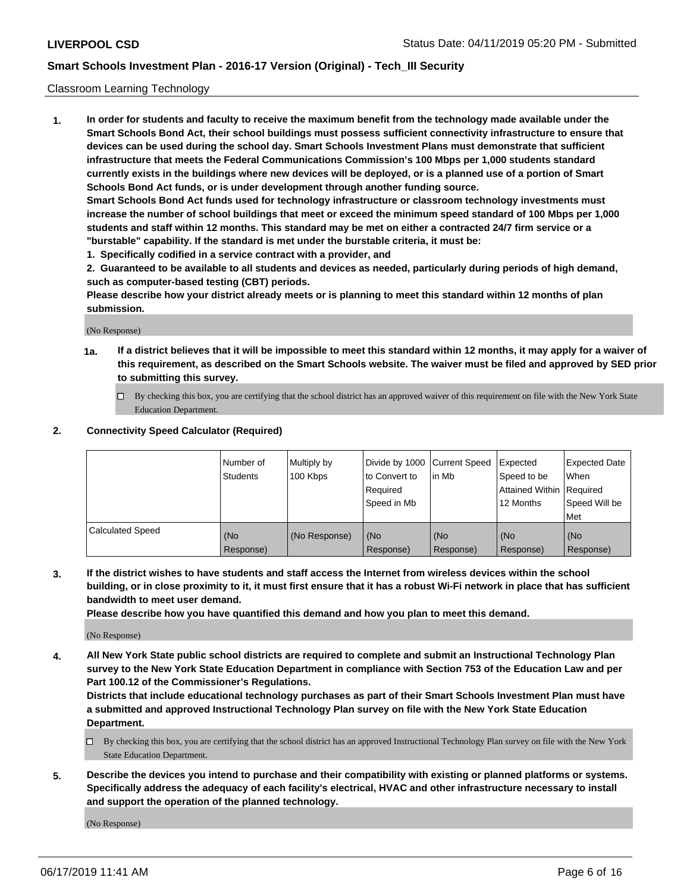### Classroom Learning Technology

**1. In order for students and faculty to receive the maximum benefit from the technology made available under the Smart Schools Bond Act, their school buildings must possess sufficient connectivity infrastructure to ensure that devices can be used during the school day. Smart Schools Investment Plans must demonstrate that sufficient infrastructure that meets the Federal Communications Commission's 100 Mbps per 1,000 students standard currently exists in the buildings where new devices will be deployed, or is a planned use of a portion of Smart Schools Bond Act funds, or is under development through another funding source. Smart Schools Bond Act funds used for technology infrastructure or classroom technology investments must increase the number of school buildings that meet or exceed the minimum speed standard of 100 Mbps per 1,000 students and staff within 12 months. This standard may be met on either a contracted 24/7 firm service or a**

**"burstable" capability. If the standard is met under the burstable criteria, it must be:**

**1. Specifically codified in a service contract with a provider, and**

**2. Guaranteed to be available to all students and devices as needed, particularly during periods of high demand, such as computer-based testing (CBT) periods.**

**Please describe how your district already meets or is planning to meet this standard within 12 months of plan submission.**

(No Response)

- **1a. If a district believes that it will be impossible to meet this standard within 12 months, it may apply for a waiver of this requirement, as described on the Smart Schools website. The waiver must be filed and approved by SED prior to submitting this survey.**
	- By checking this box, you are certifying that the school district has an approved waiver of this requirement on file with the New York State Education Department.

#### **2. Connectivity Speed Calculator (Required)**

|                         | I Number of<br>Students | Multiply by<br>100 Kbps | to Convert to<br>Required<br>Speed in Mb | Divide by 1000 Current Speed Expected<br>lin Mb | Speed to be<br>Attained Within Required<br>12 Months | <b>Expected Date</b><br>When<br>Speed Will be<br>Met |
|-------------------------|-------------------------|-------------------------|------------------------------------------|-------------------------------------------------|------------------------------------------------------|------------------------------------------------------|
| <b>Calculated Speed</b> | (No<br>Response)        | (No Response)           | (No<br>Response)                         | (No<br>Response)                                | (No<br>Response)                                     | (No<br>Response)                                     |

**3. If the district wishes to have students and staff access the Internet from wireless devices within the school building, or in close proximity to it, it must first ensure that it has a robust Wi-Fi network in place that has sufficient bandwidth to meet user demand.**

**Please describe how you have quantified this demand and how you plan to meet this demand.**

(No Response)

**4. All New York State public school districts are required to complete and submit an Instructional Technology Plan survey to the New York State Education Department in compliance with Section 753 of the Education Law and per Part 100.12 of the Commissioner's Regulations.**

**Districts that include educational technology purchases as part of their Smart Schools Investment Plan must have a submitted and approved Instructional Technology Plan survey on file with the New York State Education Department.**

- $\Box$  By checking this box, you are certifying that the school district has an approved Instructional Technology Plan survey on file with the New York State Education Department.
- **5. Describe the devices you intend to purchase and their compatibility with existing or planned platforms or systems. Specifically address the adequacy of each facility's electrical, HVAC and other infrastructure necessary to install and support the operation of the planned technology.**

(No Response)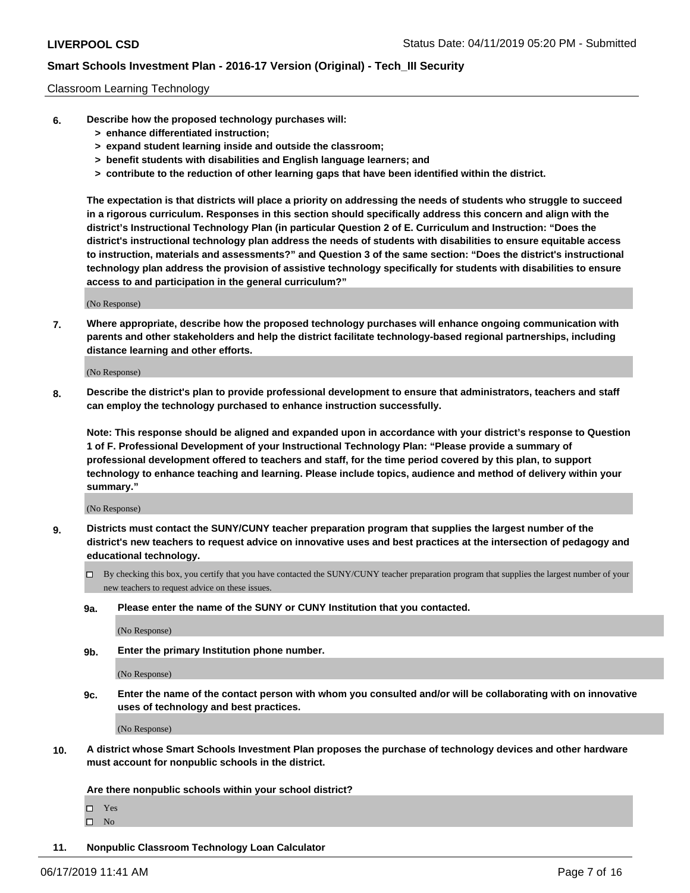#### Classroom Learning Technology

- **6. Describe how the proposed technology purchases will:**
	- **> enhance differentiated instruction;**
	- **> expand student learning inside and outside the classroom;**
	- **> benefit students with disabilities and English language learners; and**
	- **> contribute to the reduction of other learning gaps that have been identified within the district.**

**The expectation is that districts will place a priority on addressing the needs of students who struggle to succeed in a rigorous curriculum. Responses in this section should specifically address this concern and align with the district's Instructional Technology Plan (in particular Question 2 of E. Curriculum and Instruction: "Does the district's instructional technology plan address the needs of students with disabilities to ensure equitable access to instruction, materials and assessments?" and Question 3 of the same section: "Does the district's instructional technology plan address the provision of assistive technology specifically for students with disabilities to ensure access to and participation in the general curriculum?"**

(No Response)

**7. Where appropriate, describe how the proposed technology purchases will enhance ongoing communication with parents and other stakeholders and help the district facilitate technology-based regional partnerships, including distance learning and other efforts.**

(No Response)

**8. Describe the district's plan to provide professional development to ensure that administrators, teachers and staff can employ the technology purchased to enhance instruction successfully.**

**Note: This response should be aligned and expanded upon in accordance with your district's response to Question 1 of F. Professional Development of your Instructional Technology Plan: "Please provide a summary of professional development offered to teachers and staff, for the time period covered by this plan, to support technology to enhance teaching and learning. Please include topics, audience and method of delivery within your summary."**

(No Response)

- **9. Districts must contact the SUNY/CUNY teacher preparation program that supplies the largest number of the district's new teachers to request advice on innovative uses and best practices at the intersection of pedagogy and educational technology.**
	- By checking this box, you certify that you have contacted the SUNY/CUNY teacher preparation program that supplies the largest number of your new teachers to request advice on these issues.
	- **9a. Please enter the name of the SUNY or CUNY Institution that you contacted.**

(No Response)

**9b. Enter the primary Institution phone number.**

(No Response)

**9c. Enter the name of the contact person with whom you consulted and/or will be collaborating with on innovative uses of technology and best practices.**

(No Response)

**10. A district whose Smart Schools Investment Plan proposes the purchase of technology devices and other hardware must account for nonpublic schools in the district.**

**Are there nonpublic schools within your school district?**

Yes

 $\square$  No

**11. Nonpublic Classroom Technology Loan Calculator**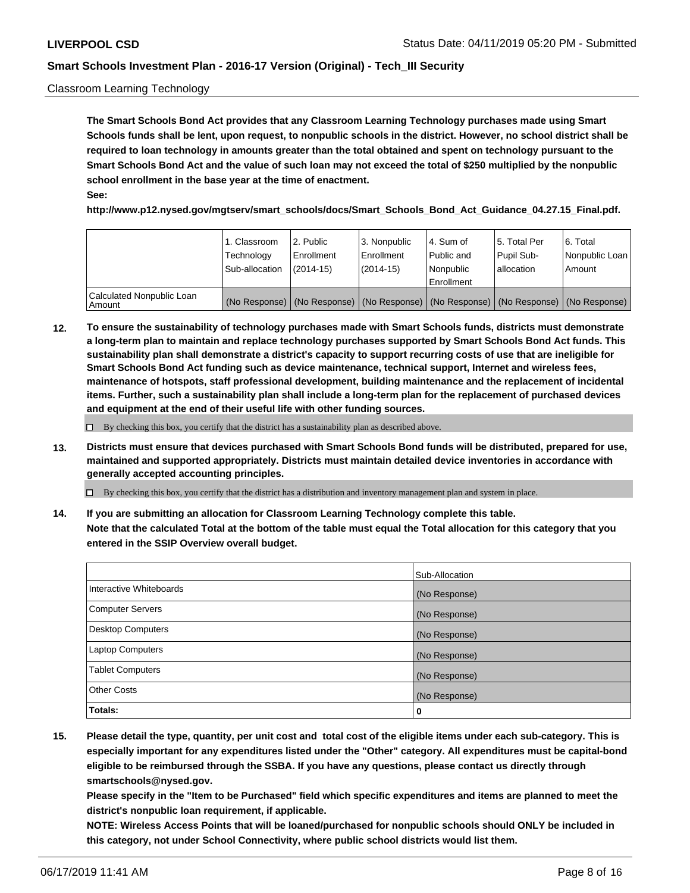### Classroom Learning Technology

**The Smart Schools Bond Act provides that any Classroom Learning Technology purchases made using Smart Schools funds shall be lent, upon request, to nonpublic schools in the district. However, no school district shall be required to loan technology in amounts greater than the total obtained and spent on technology pursuant to the Smart Schools Bond Act and the value of such loan may not exceed the total of \$250 multiplied by the nonpublic school enrollment in the base year at the time of enactment. See:**

**http://www.p12.nysed.gov/mgtserv/smart\_schools/docs/Smart\_Schools\_Bond\_Act\_Guidance\_04.27.15\_Final.pdf.**

|                                       | 1. Classroom<br>Technology<br>Sub-allocation | 2. Public<br>l Enrollment<br>(2014-15) | l 3. Nonpublic<br>l Enrollment<br>$(2014 - 15)$ | l 4. Sum of<br>l Public and<br>l Nonpublic<br>Enrollment                                      | 15. Total Per<br>Pupil Sub-<br>l allocation | l 6. Total<br>Nonpublic Loan<br>Amount |
|---------------------------------------|----------------------------------------------|----------------------------------------|-------------------------------------------------|-----------------------------------------------------------------------------------------------|---------------------------------------------|----------------------------------------|
| Calculated Nonpublic Loan<br>l Amount |                                              |                                        |                                                 | (No Response)   (No Response)   (No Response)   (No Response)   (No Response)   (No Response) |                                             |                                        |

**12. To ensure the sustainability of technology purchases made with Smart Schools funds, districts must demonstrate a long-term plan to maintain and replace technology purchases supported by Smart Schools Bond Act funds. This sustainability plan shall demonstrate a district's capacity to support recurring costs of use that are ineligible for Smart Schools Bond Act funding such as device maintenance, technical support, Internet and wireless fees, maintenance of hotspots, staff professional development, building maintenance and the replacement of incidental items. Further, such a sustainability plan shall include a long-term plan for the replacement of purchased devices and equipment at the end of their useful life with other funding sources.**

 $\Box$  By checking this box, you certify that the district has a sustainability plan as described above.

**13. Districts must ensure that devices purchased with Smart Schools Bond funds will be distributed, prepared for use, maintained and supported appropriately. Districts must maintain detailed device inventories in accordance with generally accepted accounting principles.**

By checking this box, you certify that the district has a distribution and inventory management plan and system in place.

**14. If you are submitting an allocation for Classroom Learning Technology complete this table. Note that the calculated Total at the bottom of the table must equal the Total allocation for this category that you entered in the SSIP Overview overall budget.**

|                          | Sub-Allocation |
|--------------------------|----------------|
| Interactive Whiteboards  | (No Response)  |
| <b>Computer Servers</b>  | (No Response)  |
| <b>Desktop Computers</b> | (No Response)  |
| <b>Laptop Computers</b>  | (No Response)  |
| <b>Tablet Computers</b>  | (No Response)  |
| <b>Other Costs</b>       | (No Response)  |
| Totals:                  | 0              |

**15. Please detail the type, quantity, per unit cost and total cost of the eligible items under each sub-category. This is especially important for any expenditures listed under the "Other" category. All expenditures must be capital-bond eligible to be reimbursed through the SSBA. If you have any questions, please contact us directly through smartschools@nysed.gov.**

**Please specify in the "Item to be Purchased" field which specific expenditures and items are planned to meet the district's nonpublic loan requirement, if applicable.**

**NOTE: Wireless Access Points that will be loaned/purchased for nonpublic schools should ONLY be included in this category, not under School Connectivity, where public school districts would list them.**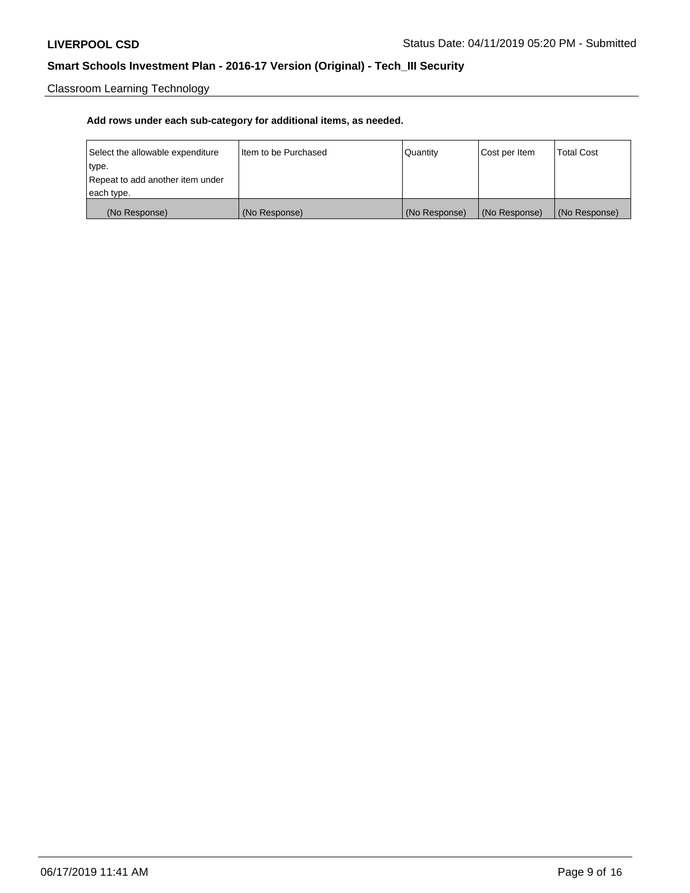Classroom Learning Technology

| Select the allowable expenditure | Iltem to be Purchased | Quantity      | Cost per Item | <b>Total Cost</b> |
|----------------------------------|-----------------------|---------------|---------------|-------------------|
| type.                            |                       |               |               |                   |
| Repeat to add another item under |                       |               |               |                   |
| each type.                       |                       |               |               |                   |
| (No Response)                    | (No Response)         | (No Response) | (No Response) | (No Response)     |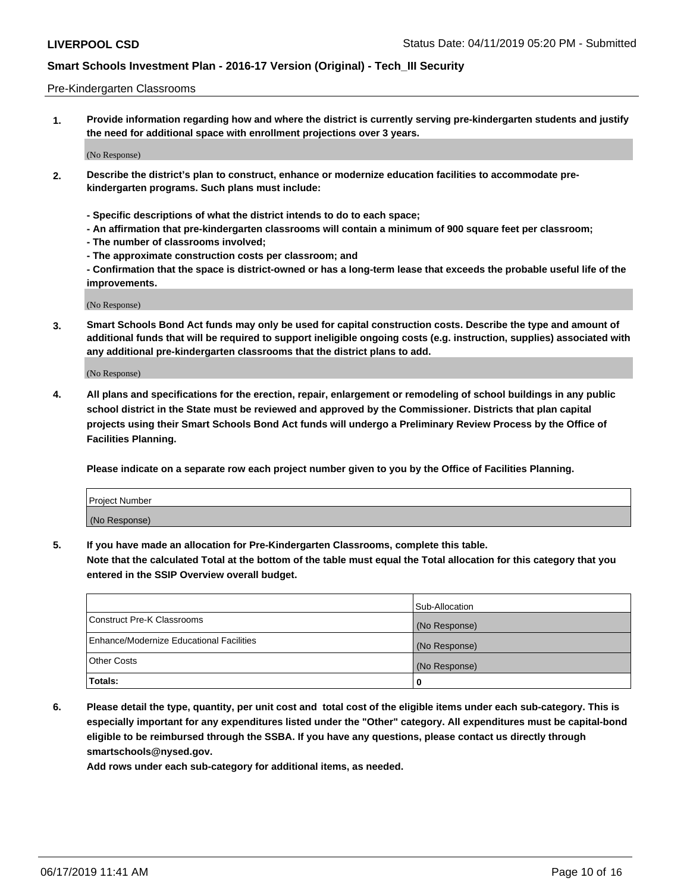#### Pre-Kindergarten Classrooms

**1. Provide information regarding how and where the district is currently serving pre-kindergarten students and justify the need for additional space with enrollment projections over 3 years.**

(No Response)

- **2. Describe the district's plan to construct, enhance or modernize education facilities to accommodate prekindergarten programs. Such plans must include:**
	- **Specific descriptions of what the district intends to do to each space;**
	- **An affirmation that pre-kindergarten classrooms will contain a minimum of 900 square feet per classroom;**
	- **The number of classrooms involved;**
	- **The approximate construction costs per classroom; and**
	- **Confirmation that the space is district-owned or has a long-term lease that exceeds the probable useful life of the improvements.**

(No Response)

**3. Smart Schools Bond Act funds may only be used for capital construction costs. Describe the type and amount of additional funds that will be required to support ineligible ongoing costs (e.g. instruction, supplies) associated with any additional pre-kindergarten classrooms that the district plans to add.**

(No Response)

**4. All plans and specifications for the erection, repair, enlargement or remodeling of school buildings in any public school district in the State must be reviewed and approved by the Commissioner. Districts that plan capital projects using their Smart Schools Bond Act funds will undergo a Preliminary Review Process by the Office of Facilities Planning.**

**Please indicate on a separate row each project number given to you by the Office of Facilities Planning.**

| Project Number |  |
|----------------|--|
| (No Response)  |  |
|                |  |

**5. If you have made an allocation for Pre-Kindergarten Classrooms, complete this table.**

**Note that the calculated Total at the bottom of the table must equal the Total allocation for this category that you entered in the SSIP Overview overall budget.**

|                                          | Sub-Allocation |
|------------------------------------------|----------------|
| Construct Pre-K Classrooms               | (No Response)  |
| Enhance/Modernize Educational Facilities | (No Response)  |
| <b>Other Costs</b>                       | (No Response)  |
| Totals:                                  | 0              |

**6. Please detail the type, quantity, per unit cost and total cost of the eligible items under each sub-category. This is especially important for any expenditures listed under the "Other" category. All expenditures must be capital-bond eligible to be reimbursed through the SSBA. If you have any questions, please contact us directly through smartschools@nysed.gov.**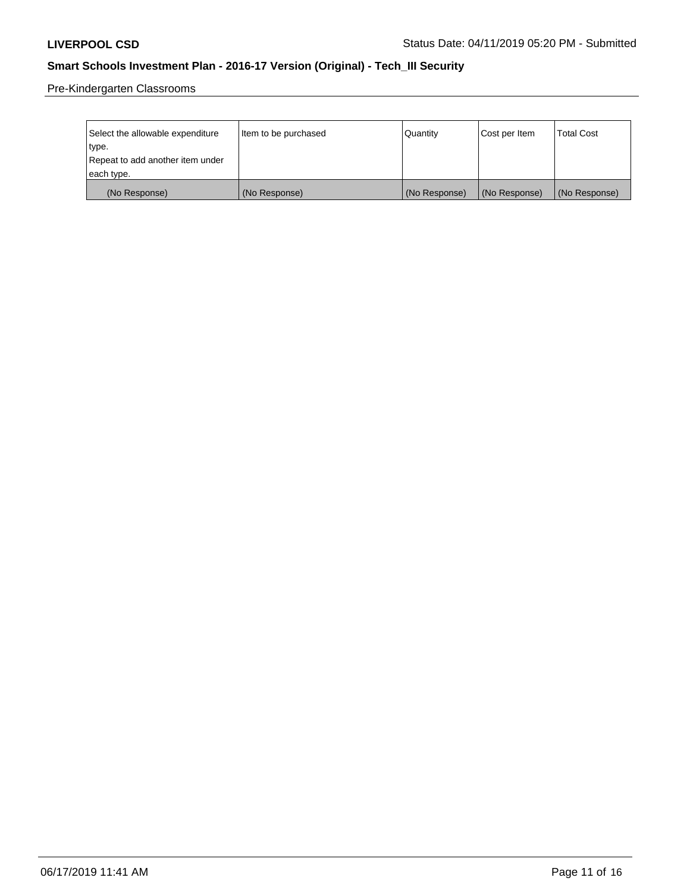Pre-Kindergarten Classrooms

| Select the allowable expenditure | Item to be purchased | Quantity      | Cost per Item | <b>Total Cost</b> |
|----------------------------------|----------------------|---------------|---------------|-------------------|
| type.                            |                      |               |               |                   |
| Repeat to add another item under |                      |               |               |                   |
| each type.                       |                      |               |               |                   |
| (No Response)                    | (No Response)        | (No Response) | (No Response) | (No Response)     |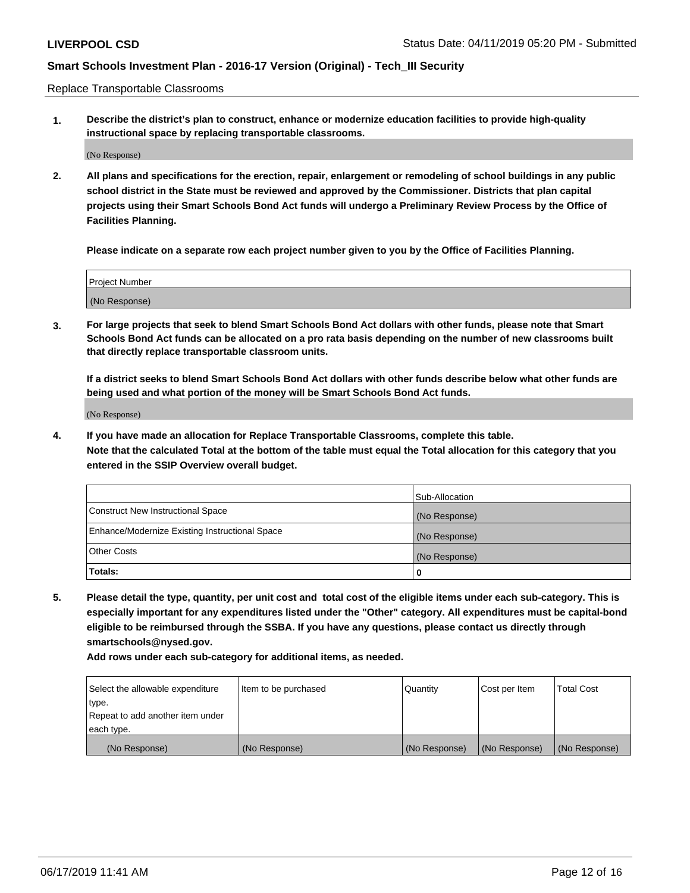Replace Transportable Classrooms

**1. Describe the district's plan to construct, enhance or modernize education facilities to provide high-quality instructional space by replacing transportable classrooms.**

(No Response)

**2. All plans and specifications for the erection, repair, enlargement or remodeling of school buildings in any public school district in the State must be reviewed and approved by the Commissioner. Districts that plan capital projects using their Smart Schools Bond Act funds will undergo a Preliminary Review Process by the Office of Facilities Planning.**

**Please indicate on a separate row each project number given to you by the Office of Facilities Planning.**

| Project Number |  |
|----------------|--|
|                |  |
| (No Response)  |  |

**3. For large projects that seek to blend Smart Schools Bond Act dollars with other funds, please note that Smart Schools Bond Act funds can be allocated on a pro rata basis depending on the number of new classrooms built that directly replace transportable classroom units.**

**If a district seeks to blend Smart Schools Bond Act dollars with other funds describe below what other funds are being used and what portion of the money will be Smart Schools Bond Act funds.**

(No Response)

**4. If you have made an allocation for Replace Transportable Classrooms, complete this table. Note that the calculated Total at the bottom of the table must equal the Total allocation for this category that you entered in the SSIP Overview overall budget.**

|                                                | Sub-Allocation |
|------------------------------------------------|----------------|
| Construct New Instructional Space              | (No Response)  |
| Enhance/Modernize Existing Instructional Space | (No Response)  |
| <b>Other Costs</b>                             | (No Response)  |
| Totals:                                        | 0              |

**5. Please detail the type, quantity, per unit cost and total cost of the eligible items under each sub-category. This is especially important for any expenditures listed under the "Other" category. All expenditures must be capital-bond eligible to be reimbursed through the SSBA. If you have any questions, please contact us directly through smartschools@nysed.gov.**

| Select the allowable expenditure | Item to be purchased | l Quantitv    | Cost per Item | <b>Total Cost</b> |
|----------------------------------|----------------------|---------------|---------------|-------------------|
| type.                            |                      |               |               |                   |
| Repeat to add another item under |                      |               |               |                   |
| each type.                       |                      |               |               |                   |
| (No Response)                    | (No Response)        | (No Response) | (No Response) | (No Response)     |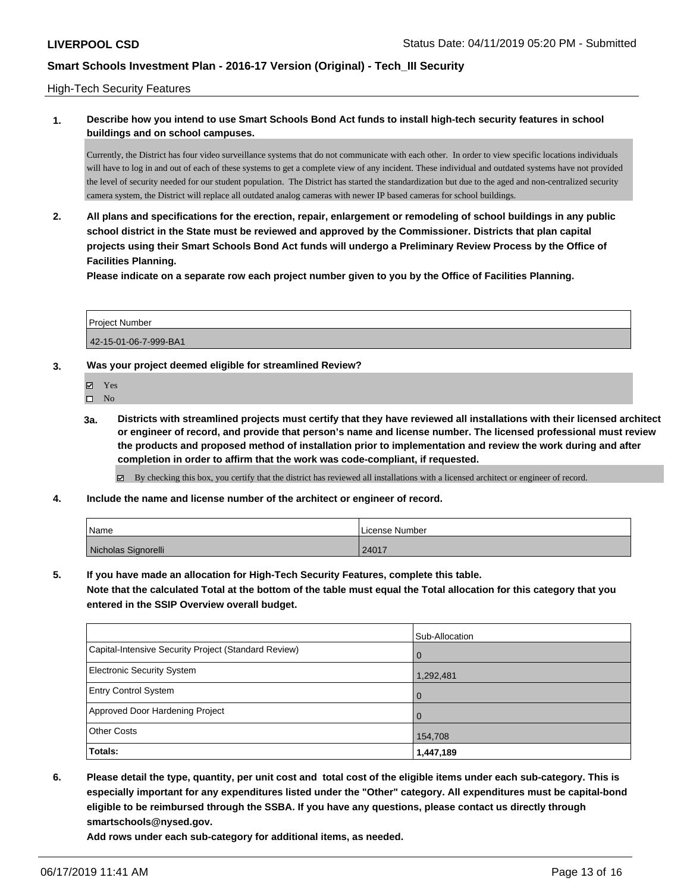#### High-Tech Security Features

### **1. Describe how you intend to use Smart Schools Bond Act funds to install high-tech security features in school buildings and on school campuses.**

Currently, the District has four video surveillance systems that do not communicate with each other. In order to view specific locations individuals will have to log in and out of each of these systems to get a complete view of any incident. These individual and outdated systems have not provided the level of security needed for our student population. The District has started the standardization but due to the aged and non-centralized security camera system, the District will replace all outdated analog cameras with newer IP based cameras for school buildings.

**2. All plans and specifications for the erection, repair, enlargement or remodeling of school buildings in any public school district in the State must be reviewed and approved by the Commissioner. Districts that plan capital projects using their Smart Schools Bond Act funds will undergo a Preliminary Review Process by the Office of Facilities Planning.** 

**Please indicate on a separate row each project number given to you by the Office of Facilities Planning.**

| <b>Project Number</b> |  |
|-----------------------|--|
| 42-15-01-06-7-999-BA1 |  |

- **3. Was your project deemed eligible for streamlined Review?**
	- Yes
	- $\square$  No
	- **3a. Districts with streamlined projects must certify that they have reviewed all installations with their licensed architect or engineer of record, and provide that person's name and license number. The licensed professional must review the products and proposed method of installation prior to implementation and review the work during and after completion in order to affirm that the work was code-compliant, if requested.**
		- By checking this box, you certify that the district has reviewed all installations with a licensed architect or engineer of record.
- **4. Include the name and license number of the architect or engineer of record.**

| Name                | License Number |
|---------------------|----------------|
| Nicholas Signorelli | 24017          |

**5. If you have made an allocation for High-Tech Security Features, complete this table.**

**Note that the calculated Total at the bottom of the table must equal the Total allocation for this category that you entered in the SSIP Overview overall budget.**

|                                                      | Sub-Allocation |
|------------------------------------------------------|----------------|
| Capital-Intensive Security Project (Standard Review) | $\Omega$       |
| <b>Electronic Security System</b>                    | 1,292,481      |
| <b>Entry Control System</b>                          | $\Omega$       |
| Approved Door Hardening Project                      | $\Omega$       |
| <b>Other Costs</b>                                   | 154,708        |
| <b>Totals:</b>                                       | 1,447,189      |

**6. Please detail the type, quantity, per unit cost and total cost of the eligible items under each sub-category. This is especially important for any expenditures listed under the "Other" category. All expenditures must be capital-bond eligible to be reimbursed through the SSBA. If you have any questions, please contact us directly through smartschools@nysed.gov.**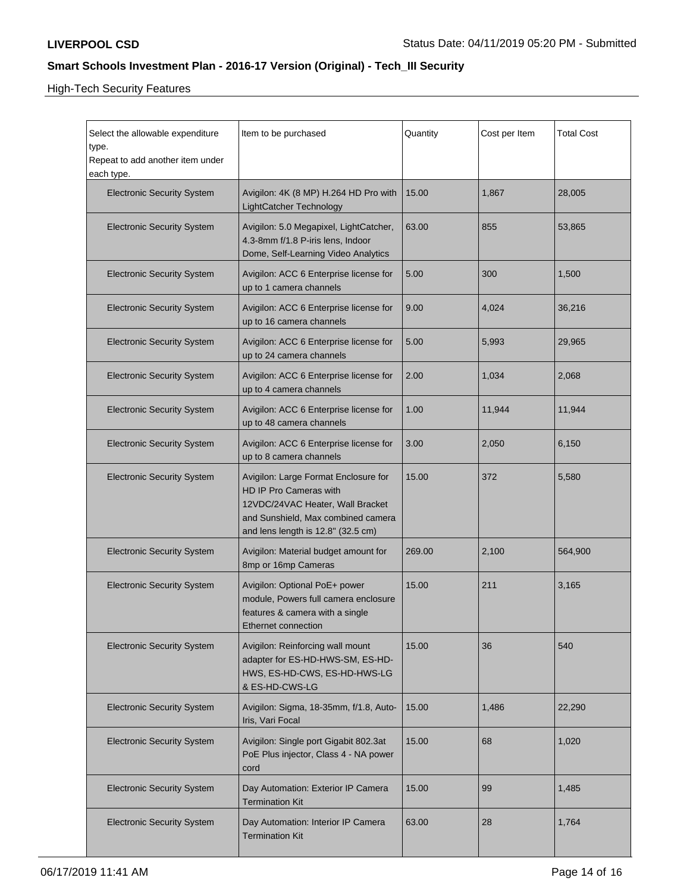High-Tech Security Features

| Select the allowable expenditure<br>type.<br>Repeat to add another item under<br>each type. | Item to be purchased                                                                                                                                                           | Quantity | Cost per Item | <b>Total Cost</b> |
|---------------------------------------------------------------------------------------------|--------------------------------------------------------------------------------------------------------------------------------------------------------------------------------|----------|---------------|-------------------|
| <b>Electronic Security System</b>                                                           | Avigilon: 4K (8 MP) H.264 HD Pro with<br><b>LightCatcher Technology</b>                                                                                                        | 15.00    | 1,867         | 28,005            |
| <b>Electronic Security System</b>                                                           | Avigilon: 5.0 Megapixel, LightCatcher,<br>4.3-8mm f/1.8 P-iris lens, Indoor<br>Dome, Self-Learning Video Analytics                                                             | 63.00    | 855           | 53,865            |
| <b>Electronic Security System</b>                                                           | Avigilon: ACC 6 Enterprise license for<br>up to 1 camera channels                                                                                                              | 5.00     | 300           | 1,500             |
| <b>Electronic Security System</b>                                                           | Avigilon: ACC 6 Enterprise license for<br>up to 16 camera channels                                                                                                             | 9.00     | 4,024         | 36,216            |
| <b>Electronic Security System</b>                                                           | Avigilon: ACC 6 Enterprise license for<br>up to 24 camera channels                                                                                                             | 5.00     | 5,993         | 29,965            |
| <b>Electronic Security System</b>                                                           | Avigilon: ACC 6 Enterprise license for<br>up to 4 camera channels                                                                                                              | 2.00     | 1,034         | 2,068             |
| <b>Electronic Security System</b>                                                           | Avigilon: ACC 6 Enterprise license for<br>up to 48 camera channels                                                                                                             | 1.00     | 11,944        | 11,944            |
| <b>Electronic Security System</b>                                                           | Avigilon: ACC 6 Enterprise license for<br>up to 8 camera channels                                                                                                              | 3.00     | 2,050         | 6,150             |
| <b>Electronic Security System</b>                                                           | Avigilon: Large Format Enclosure for<br>HD IP Pro Cameras with<br>12VDC/24VAC Heater, Wall Bracket<br>and Sunshield, Max combined camera<br>and lens length is 12.8" (32.5 cm) | 15.00    | 372           | 5,580             |
| <b>Electronic Security System</b>                                                           | Avigilon: Material budget amount for<br>8mp or 16mp Cameras                                                                                                                    | 269.00   | 2,100         | 564,900           |
| <b>Electronic Security System</b>                                                           | Avigilon: Optional PoE+ power<br>module, Powers full camera enclosure<br>features & camera with a single<br>Ethernet connection                                                | 15.00    | 211           | 3,165             |
| <b>Electronic Security System</b>                                                           | Avigilon: Reinforcing wall mount<br>adapter for ES-HD-HWS-SM, ES-HD-<br>HWS, ES-HD-CWS, ES-HD-HWS-LG<br>& ES-HD-CWS-LG                                                         | 15.00    | 36            | 540               |
| <b>Electronic Security System</b>                                                           | Avigilon: Sigma, 18-35mm, f/1.8, Auto-<br>Iris, Vari Focal                                                                                                                     | 15.00    | 1,486         | 22,290            |
| <b>Electronic Security System</b>                                                           | Avigilon: Single port Gigabit 802.3at<br>PoE Plus injector, Class 4 - NA power<br>cord                                                                                         | 15.00    | 68            | 1,020             |
| <b>Electronic Security System</b>                                                           | Day Automation: Exterior IP Camera<br><b>Termination Kit</b>                                                                                                                   | 15.00    | 99            | 1,485             |
| <b>Electronic Security System</b>                                                           | Day Automation: Interior IP Camera<br><b>Termination Kit</b>                                                                                                                   | 63.00    | 28            | 1,764             |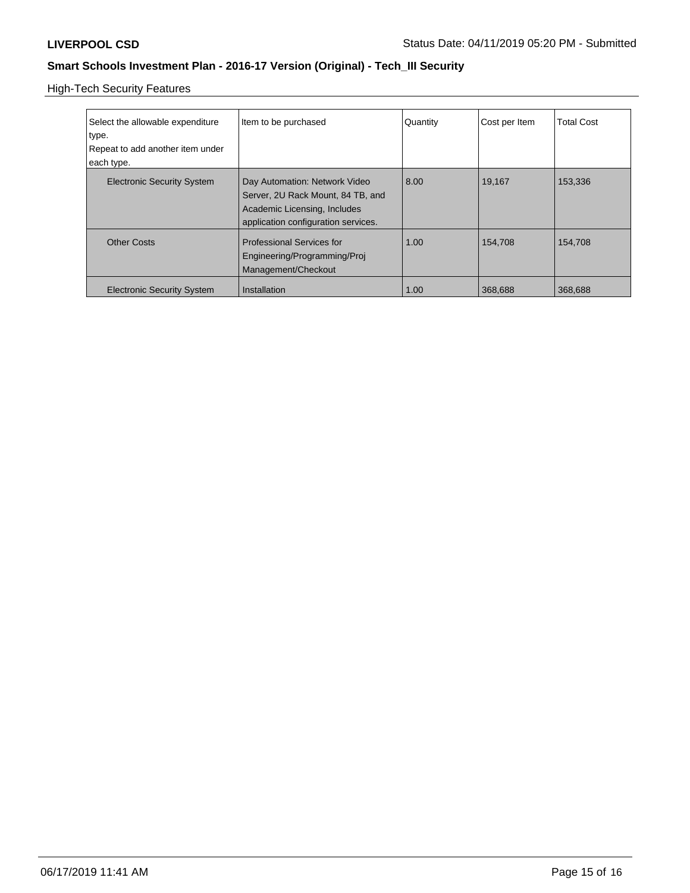High-Tech Security Features

| Select the allowable expenditure<br>type.<br>Repeat to add another item under<br>each type. | Item to be purchased                                                                                                                      | Quantity | Cost per Item | <b>Total Cost</b> |
|---------------------------------------------------------------------------------------------|-------------------------------------------------------------------------------------------------------------------------------------------|----------|---------------|-------------------|
| <b>Electronic Security System</b>                                                           | Day Automation: Network Video<br>Server, 2U Rack Mount, 84 TB, and<br>Academic Licensing, Includes<br>application configuration services. | 8.00     | 19,167        | 153,336           |
| <b>Other Costs</b>                                                                          | <b>Professional Services for</b><br>Engineering/Programming/Proj<br>Management/Checkout                                                   | 1.00     | 154,708       | 154,708           |
| <b>Electronic Security System</b>                                                           | Installation                                                                                                                              | 1.00     | 368,688       | 368,688           |